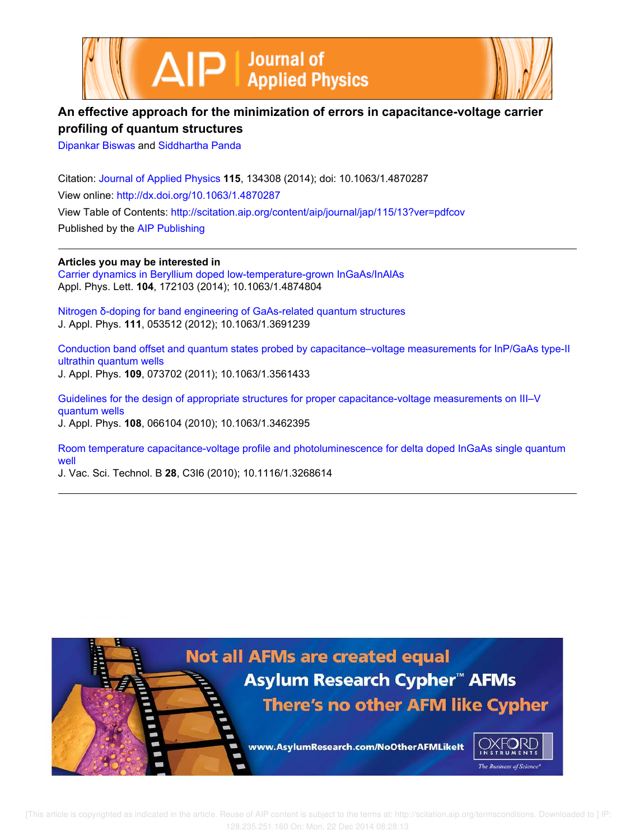



# **An effective approach for the minimization of errors in capacitance-voltage carrier profiling of quantum structures**

Dipankar Biswas and Siddhartha Panda

Citation: Journal of Applied Physics **115**, 134308 (2014); doi: 10.1063/1.4870287 View online: http://dx.doi.org/10.1063/1.4870287 View Table of Contents: http://scitation.aip.org/content/aip/journal/jap/115/13?ver=pdfcov Published by the AIP Publishing

**Articles you may be interested in** Carrier dynamics in Beryllium doped low-temperature-grown InGaAs/InAlAs Appl. Phys. Lett. **104**, 172103 (2014); 10.1063/1.4874804

Nitrogen δ-doping for band engineering of GaAs-related quantum structures J. Appl. Phys. **111**, 053512 (2012); 10.1063/1.3691239

Conduction band offset and quantum states probed by capacitance–voltage measurements for InP/GaAs type-II ultrathin quantum wells J. Appl. Phys. **109**, 073702 (2011); 10.1063/1.3561433

Guidelines for the design of appropriate structures for proper capacitance-voltage measurements on III–V quantum wells J. Appl. Phys. **108**, 066104 (2010); 10.1063/1.3462395

Room temperature capacitance-voltage profile and photoluminescence for delta doped InGaAs single quantum well

J. Vac. Sci. Technol. B **28**, C3I6 (2010); 10.1116/1.3268614

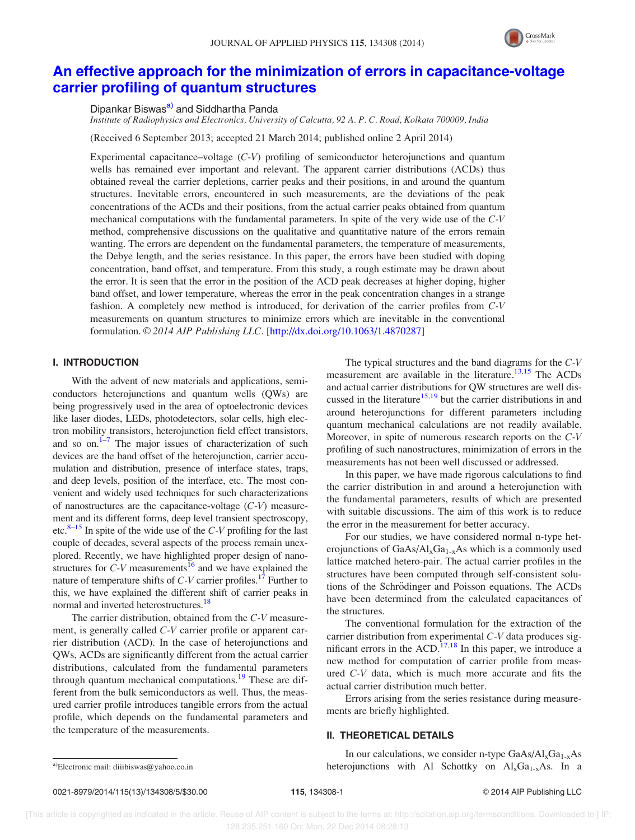

## An effective approach for the minimization of errors in capacitance-voltage carrier profiling of quantum structures

Dipankar Biswas<sup>a)</sup> and Siddhartha Panda

*Institute of Radiophysics and Electronics, University of Calcutta, 92 A. P. C. Road, Kolkata 700009, India*

(Received 6 September 2013; accepted 21 March 2014; published online 2 April 2014)

Experimental capacitance–voltage (*C-V*) profiling of semiconductor heterojunctions and quantum wells has remained ever important and relevant. The apparent carrier distributions (ACDs) thus obtained reveal the carrier depletions, carrier peaks and their positions, in and around the quantum structures. Inevitable errors, encountered in such measurements, are the deviations of the peak concentrations of the ACDs and their positions, from the actual carrier peaks obtained from quantum mechanical computations with the fundamental parameters. In spite of the very wide use of the *C-V* method, comprehensive discussions on the qualitative and quantitative nature of the errors remain wanting. The errors are dependent on the fundamental parameters, the temperature of measurements, the Debye length, and the series resistance. In this paper, the errors have been studied with doping concentration, band offset, and temperature. From this study, a rough estimate may be drawn about the error. It is seen that the error in the position of the ACD peak decreases at higher doping, higher band offset, and lower temperature, whereas the error in the peak concentration changes in a strange fashion. A completely new method is introduced, for derivation of the carrier profiles from *C-V* measurements on quantum structures to minimize errors which are inevitable in the conventional formulation. © 2014 AIP Publishing LLC. [http://dx.doi.org/10.1063/1.4870287]

### I. INTRODUCTION

With the advent of new materials and applications, semiconductors heterojunctions and quantum wells (QWs) are being progressively used in the area of optoelectronic devices like laser diodes, LEDs, photodetectors, solar cells, high electron mobility transistors, heterojunction field effect transistors, and so on. $1\frac{1}{7}$  The major issues of characterization of such devices are the band offset of the heterojunction, carrier accumulation and distribution, presence of interface states, traps, and deep levels, position of the interface, etc. The most convenient and widely used techniques for such characterizations of nanostructures are the capacitance-voltage (*C-V*) measurement and its different forms, deep level transient spectroscopy, etc. $8-15$  In spite of the wide use of the *C-V* profiling for the last couple of decades, several aspects of the process remain unexplored. Recently, we have highlighted proper design of nanostructures for  $C-V$  measurements<sup>16</sup> and we have explained the nature of temperature shifts of *C-V* carrier profiles.<sup>17</sup> Further to this, we have explained the different shift of carrier peaks in normal and inverted heterostructures.<sup>18</sup>

The carrier distribution, obtained from the *C-V* measurement, is generally called *C-V* carrier profile or apparent carrier distribution (ACD). In the case of heterojunctions and QWs, ACDs are significantly different from the actual carrier distributions, calculated from the fundamental parameters through quantum mechanical computations.<sup>19</sup> These are different from the bulk semiconductors as well. Thus, the measured carrier profile introduces tangible errors from the actual profile, which depends on the fundamental parameters and the temperature of the measurements.

The typical structures and the band diagrams for the *C-V* measurement are available in the literature.<sup>13,15</sup> The ACDs and actual carrier distributions for QW structures are well discussed in the literature<sup>15,19</sup> but the carrier distributions in and around heterojunctions for different parameters including quantum mechanical calculations are not readily available. Moreover, in spite of numerous research reports on the *C-V* profiling of such nanostructures, minimization of errors in the measurements has not been well discussed or addressed.

In this paper, we have made rigorous calculations to find the carrier distribution in and around a heterojunction with the fundamental parameters, results of which are presented with suitable discussions. The aim of this work is to reduce the error in the measurement for better accuracy.

For our studies, we have considered normal n-type heterojunctions of  $GaAs/Al_xGa_{1-x}As$  which is a commonly used lattice matched hetero-pair. The actual carrier profiles in the structures have been computed through self-consistent solutions of the Schrödinger and Poisson equations. The ACDs have been determined from the calculated capacitances of the structures.

The conventional formulation for the extraction of the carrier distribution from experimental *C-V* data produces significant errors in the ACD.<sup>17,18</sup> In this paper, we introduce a new method for computation of carrier profile from measured *C-V* data, which is much more accurate and fits the actual carrier distribution much better.

Errors arising from the series resistance during measurements are briefly highlighted.

#### II. THEORETICAL DETAILS

In our calculations, we consider n-type  $GaAs/Al<sub>x</sub>Ga<sub>1-x</sub>As$ <sup>a)</sup>Electronic mail: diiibiswas@yahoo.co.in heterojunctions with Al Schottky on  $Al_xGa_{1-x}As$ . In a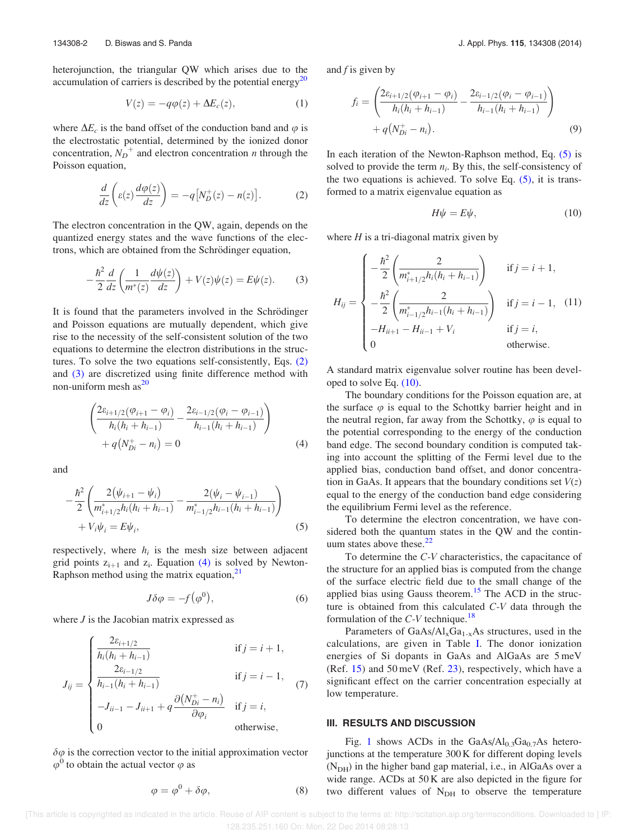heterojunction, the triangular QW which arises due to the accumulation of carriers is described by the potential energy $^{20}$ 

$$
V(z) = -q\varphi(z) + \Delta E_c(z), \qquad (1)
$$

where  $\Delta E_c$  is the band offset of the conduction band and  $\varphi$  is the electrostatic potential, determined by the ionized donor concentration,  $N_D^{\dagger}$  and electron concentration *n* through the Poisson equation,

$$
\frac{d}{dz}\left(\varepsilon(z)\frac{d\varphi(z)}{dz}\right) = -q\big[N_D^+(z) - n(z)\big].\tag{2}
$$

The electron concentration in the QW, again, depends on the quantized energy states and the wave functions of the electrons, which are obtained from the Schrödinger equation,

$$
-\frac{\hbar^2}{2}\frac{d}{dz}\left(\frac{1}{m^*(z)}\frac{d\psi(z)}{dz}\right) + V(z)\psi(z) = E\psi(z).
$$
 (3)

It is found that the parameters involved in the Schrödinger and Poisson equations are mutually dependent, which give rise to the necessity of the self-consistent solution of the two equations to determine the electron distributions in the structures. To solve the two equations self-consistently, Eqs. (2) and (3) are discretized using finite difference method with non-uniform mesh  $as^{20}$ 

$$
\left(\frac{2\varepsilon_{i+1/2}(\varphi_{i+1} - \varphi_i)}{h_i(h_i + h_{i-1})} - \frac{2\varepsilon_{i-1/2}(\varphi_i - \varphi_{i-1})}{h_{i-1}(h_i + h_{i-1})}\right) + q(N_{Di}^+ - n_i) = 0
$$
\n(4)

and

$$
-\frac{\hbar^2}{2} \left( \frac{2(\psi_{i+1} - \psi_i)}{m_{i+1/2}^* h_i (h_i + h_{i-1})} - \frac{2(\psi_i - \psi_{i-1})}{m_{i-1/2}^* h_{i-1} (h_i + h_{i-1})} \right) + V_i \psi_i = E \psi_i,
$$
\n(5)

respectively, where  $h_i$  is the mesh size between adjacent grid points  $z_{i+1}$  and  $z_i$ . Equation (4) is solved by Newton-Raphson method using the matrix equation, $^{21}$ 

$$
J\delta\varphi = -f(\varphi^0),\tag{6}
$$

where *J* is the Jacobian matrix expressed as

$$
J_{ij} = \begin{cases} \frac{2\varepsilon_{i+1/2}}{h_i(h_i + h_{i-1})} & \text{if } j = i+1, \\ \frac{2\varepsilon_{i-1/2}}{h_{i-1}(h_i + h_{i-1})} & \text{if } j = i-1, \\ -J_{ii-1} - J_{ii+1} + q \frac{\partial (N_{Di}^+ - n_i)}{\partial \varphi_i} & \text{if } j = i, \\ 0 & \text{otherwise,} \end{cases}
$$
 (7)

 $\delta\varphi$  is the correction vector to the initial approximation vector  $\varphi^0$  to obtain the actual vector  $\varphi$  as

$$
\varphi = \varphi^0 + \delta\varphi,\tag{8}
$$

and *f* is given by

$$
f_i = \left(\frac{2\varepsilon_{i+1/2}(\varphi_{i+1} - \varphi_i)}{h_i(h_i + h_{i-1})} - \frac{2\varepsilon_{i-1/2}(\varphi_i - \varphi_{i-1})}{h_{i-1}(h_i + h_{i-1})}\right) + q(N_{Di}^+ - n_i).
$$
\n(9)

In each iteration of the Newton-Raphson method, Eq. (5) is solved to provide the term  $n_i$ . By this, the self-consistency of the two equations is achieved. To solve Eq.  $(5)$ , it is transformed to a matrix eigenvalue equation as

$$
H\psi = E\psi, \tag{10}
$$

where *H* is a tri-diagonal matrix given by

$$
H_{ij} = \begin{cases} -\frac{\hbar^2}{2} \left( \frac{2}{m_{i+1/2}^* h_i (h_i + h_{i-1})} \right) & \text{if } j = i+1, \\ -\frac{\hbar^2}{2} \left( \frac{2}{m_{i-1/2}^* h_{i-1} (h_i + h_{i-1})} \right) & \text{if } j = i-1, \\ -H_{ii+1} - H_{ii-1} + V_i & \text{if } j = i, \\ 0 & \text{otherwise.} \end{cases}
$$
 (11)

A standard matrix eigenvalue solver routine has been developed to solve Eq. (10).

The boundary conditions for the Poisson equation are, at the surface  $\varphi$  is equal to the Schottky barrier height and in the neutral region, far away from the Schottky,  $\varphi$  is equal to the potential corresponding to the energy of the conduction band edge. The second boundary condition is computed taking into account the splitting of the Fermi level due to the applied bias, conduction band offset, and donor concentration in GaAs. It appears that the boundary conditions set  $V(z)$ equal to the energy of the conduction band edge considering the equilibrium Fermi level as the reference.

To determine the electron concentration, we have considered both the quantum states in the QW and the continuum states above these. $22$ 

To determine the *C-V* characteristics, the capacitance of the structure for an applied bias is computed from the change of the surface electric field due to the small change of the applied bias using Gauss theorem.<sup>15</sup> The ACD in the structure is obtained from this calculated *C-V* data through the formulation of the  $C-V$  technique.<sup>18</sup>

Parameters of  $GaAs/Al<sub>x</sub>Ga<sub>1-x</sub>As$  structures, used in the calculations, are given in Table I. The donor ionization energies of Si dopants in GaAs and AlGaAs are 5 meV (Ref.  $15$ ) and  $50 \,\text{meV}$  (Ref.  $23$ ), respectively, which have a significant effect on the carrier concentration especially at low temperature.

#### III. RESULTS AND DISCUSSION

Fig. 1 shows ACDs in the GaAs/ $Al<sub>0.3</sub>Ga<sub>0.7</sub>As hetero$ junctions at the temperature 300 K for different doping levels  $(N<sub>DH</sub>)$  in the higher band gap material, i.e., in AlGaAs over a wide range. ACDs at 50 K are also depicted in the figure for two different values of  $N<sub>DH</sub>$  to observe the temperature

 [This article is copyrighted as indicated in the article. Reuse of AIP content is subject to the terms at: http://scitation.aip.org/termsconditions. Downloaded to ] IP: 128.235.251.160 On: Mon, 22 Dec 2014 08:28:13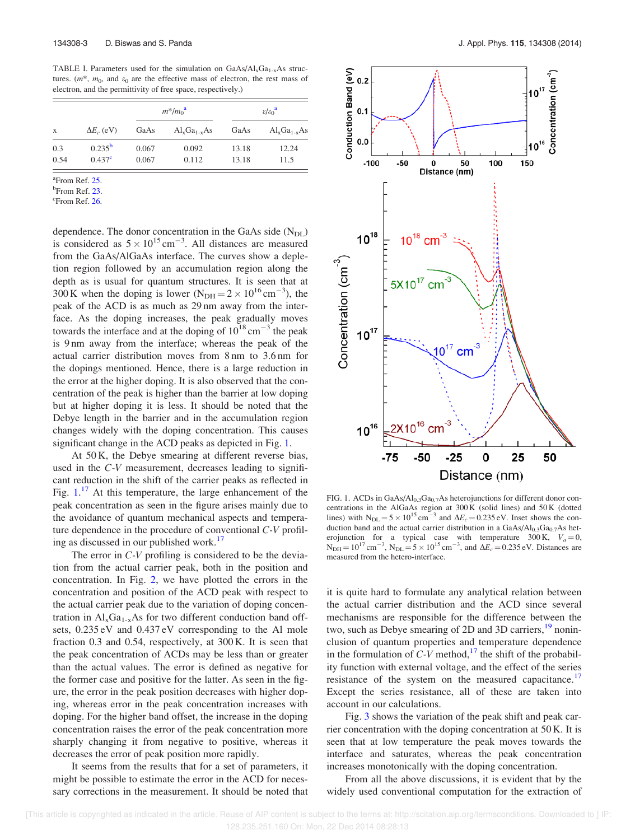TABLE I. Parameters used for the simulation on  $GaAs/Al<sub>x</sub>Ga<sub>1-x</sub>As$  structures.  $(m^*, m_0,$  and  $\varepsilon_0$  are the effective mass of electron, the rest mass of electron, and the permittivity of free space, respectively.)

| X    | $\Delta E_c$ (eV)  | $m^*/m_0^{\rm a}$ |                  | $\epsilon/\varepsilon_0^{\rm a}$ |                  |
|------|--------------------|-------------------|------------------|----------------------------------|------------------|
|      |                    | GaAs              | $Al_xGa_{1-x}As$ | GaAs                             | $Al_xGa_{1-x}As$ |
| 0.3  | $0.235^{\rm b}$    | 0.067             | 0.092            | 13.18                            | 12.24            |
| 0.54 | 0.437 <sup>c</sup> | 0.067             | 0.112            | 13.18                            | 11.5             |

<sup>a</sup>From Ref. 25.

<sup>b</sup>From Ref. 23.

 $\mathrm{c}_{\mathrm{From}}$  Ref. 26.

dependence. The donor concentration in the GaAs side  $(N_{DL})$ is considered as  $5 \times 10^{15}$  cm<sup>-3</sup>. All distances are measured from the GaAs/AlGaAs interface. The curves show a depletion region followed by an accumulation region along the depth as is usual for quantum structures. It is seen that at 300 K when the doping is lower  $(N_{\text{DH}} = 2 \times 10^{16} \text{ cm}^{-3})$ , the peak of the ACD is as much as 29 nm away from the interface. As the doping increases, the peak gradually moves towards the interface and at the doping of  $10^{18}$  cm<sup>-3</sup> the peak is 9 nm away from the interface; whereas the peak of the actual carrier distribution moves from 8 nm to 3.6 nm for the dopings mentioned. Hence, there is a large reduction in the error at the higher doping. It is also observed that the concentration of the peak is higher than the barrier at low doping but at higher doping it is less. It should be noted that the Debye length in the barrier and in the accumulation region changes widely with the doping concentration. This causes significant change in the ACD peaks as depicted in Fig. 1.

At 50 K, the Debye smearing at different reverse bias, used in the *C-V* measurement, decreases leading to significant reduction in the shift of the carrier peaks as reflected in Fig. 1.<sup>17</sup> At this temperature, the large enhancement of the peak concentration as seen in the figure arises mainly due to the avoidance of quantum mechanical aspects and temperature dependence in the procedure of conventional *C-V* profiling as discussed in our published work.<sup>17</sup>

The error in *C-V* profiling is considered to be the deviation from the actual carrier peak, both in the position and concentration. In Fig. 2, we have plotted the errors in the concentration and position of the ACD peak with respect to the actual carrier peak due to the variation of doping concentration in  $Al_xGa_{1-x}As$  for two different conduction band offsets, 0.235 eV and 0.437 eV corresponding to the Al mole fraction 0.3 and 0.54, respectively, at 300 K. It is seen that the peak concentration of ACDs may be less than or greater than the actual values. The error is defined as negative for the former case and positive for the latter. As seen in the figure, the error in the peak position decreases with higher doping, whereas error in the peak concentration increases with doping. For the higher band offset, the increase in the doping concentration raises the error of the peak concentration more sharply changing it from negative to positive, whereas it decreases the error of peak position more rapidly.

It seems from the results that for a set of parameters, it might be possible to estimate the error in the ACD for necessary corrections in the measurement. It should be noted that



FIG. 1. ACDs in  $GaAs/Al<sub>0.3</sub>Ga<sub>0.7</sub>As heterojunctions for different donor con$ centrations in the AlGaAs region at 300 K (solid lines) and 50 K (dotted lines) with  $N_{DL} = 5 \times 10^{15} \text{ cm}^{-3}$  and  $\Delta E_c = 0.235 \text{ eV}$ . Inset shows the conduction band and the actual carrier distribution in a  $GaAs/Al<sub>0.3</sub>Ga<sub>0.7</sub>As$  heterojunction for a typical case with temperature 300 K,  $V_a = 0$ ,  $N_{\text{DH}} = 10^{17} \text{ cm}^{-3}$ ,  $N_{\text{DL}} = 5 \times 10^{15} \text{ cm}^{-3}$ , and  $\Delta E_c = 0.235 \text{ eV}$ . Distances are measured from the hetero-interface.

it is quite hard to formulate any analytical relation between the actual carrier distribution and the ACD since several mechanisms are responsible for the difference between the two, such as Debye smearing of 2D and 3D carriers,<sup>19</sup> noninclusion of quantum properties and temperature dependence in the formulation of  $C-V$  method,  $17$  the shift of the probability function with external voltage, and the effect of the series resistance of the system on the measured capacitance.<sup>17</sup> Except the series resistance, all of these are taken into account in our calculations.

Fig. 3 shows the variation of the peak shift and peak carrier concentration with the doping concentration at 50 K. It is seen that at low temperature the peak moves towards the interface and saturates, whereas the peak concentration increases monotonically with the doping concentration.

From all the above discussions, it is evident that by the widely used conventional computation for the extraction of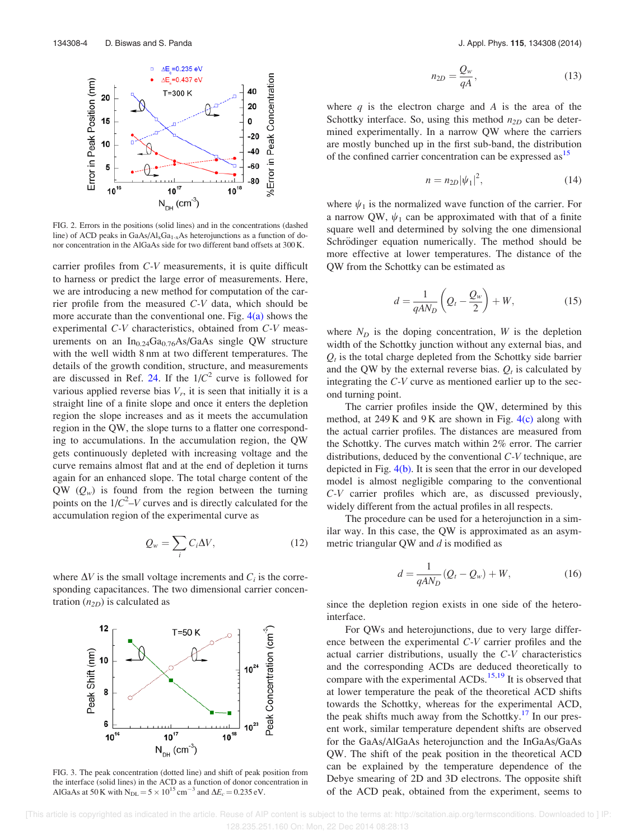

FIG. 2. Errors in the positions (solid lines) and in the concentrations (dashed line) of ACD peaks in  $GaAs/Al<sub>x</sub>Ga<sub>1-x</sub>As heterojunctions as a function of do$ nor concentration in the AlGaAs side for two different band offsets at 300 K.

carrier profiles from *C-V* measurements, it is quite difficult to harness or predict the large error of measurements. Here, we are introducing a new method for computation of the carrier profile from the measured *C-V* data, which should be more accurate than the conventional one. Fig.  $4(a)$  shows the experimental *C-V* characteristics, obtained from *C-V* measurements on an  $In<sub>0.24</sub>Ga<sub>0.76</sub>As/GaAs single QW structure$ with the well width 8 nm at two different temperatures. The details of the growth condition, structure, and measurements are discussed in Ref. 24. If the  $1/C^2$  curve is followed for various applied reverse bias  $V_r$ , it is seen that initially it is a straight line of a finite slope and once it enters the depletion region the slope increases and as it meets the accumulation region in the QW, the slope turns to a flatter one corresponding to accumulations. In the accumulation region, the QW gets continuously depleted with increasing voltage and the curve remains almost flat and at the end of depletion it turns again for an enhanced slope. The total charge content of the  $QW(Q_w)$  is found from the region between the turning points on the  $1/C^2$ –*V* curves and is directly calculated for the accumulation region of the experimental curve as

$$
Q_w = \sum_i C_i \Delta V, \qquad (12)
$$

where  $\Delta V$  is the small voltage increments and  $C_i$  is the corresponding capacitances. The two dimensional carrier concentration  $(n_{2D})$  is calculated as



FIG. 3. The peak concentration (dotted line) and shift of peak position from the interface (solid lines) in the ACD as a function of donor concentration in AlGaAs at 50 K with  $N_{\text{DL}} = 5 \times 10^{15} \text{ cm}^{-3}$  and  $\Delta E_c = 0.235 \text{ eV}$ .

$$
n_{2D} = \frac{Q_w}{qA},\tag{13}
$$

where  $q$  is the electron charge and  $A$  is the area of the Schottky interface. So, using this method  $n_{2D}$  can be determined experimentally. In a narrow QW where the carriers are mostly bunched up in the first sub-band, the distribution of the confined carrier concentration can be expressed as <sup>15</sup>

$$
n = n_{2D} |\psi_1|^2, \tag{14}
$$

where  $\psi_1$  is the normalized wave function of the carrier. For a narrow QW,  $\psi_1$  can be approximated with that of a finite square well and determined by solving the one dimensional Schrödinger equation numerically. The method should be more effective at lower temperatures. The distance of the QW from the Schottky can be estimated as

$$
d = \frac{1}{qAN_D} \left( Q_t - \frac{Q_w}{2} \right) + W, \tag{15}
$$

where  $N_D$  is the doping concentration,  $W$  is the depletion width of the Schottky junction without any external bias, and  $Q_t$  is the total charge depleted from the Schottky side barrier and the QW by the external reverse bias.  $Q_t$  is calculated by integrating the *C-V* curve as mentioned earlier up to the second turning point.

The carrier profiles inside the QW, determined by this method, at  $249K$  and  $9K$  are shown in Fig.  $4(c)$  along with the actual carrier profiles. The distances are measured from the Schottky. The curves match within 2% error. The carrier distributions, deduced by the conventional *C-V* technique, are depicted in Fig. 4(b). It is seen that the error in our developed model is almost negligible comparing to the conventional *C-V* carrier profiles which are, as discussed previously, widely different from the actual profiles in all respects.

The procedure can be used for a heterojunction in a similar way. In this case, the QW is approximated as an asymmetric triangular QW and *d* is modified as

$$
d = \frac{1}{qAN_D}(Q_t - Q_w) + W,
$$
 (16)

since the depletion region exists in one side of the heterointerface.

For QWs and heterojunctions, due to very large difference between the experimental *C-V* carrier profiles and the actual carrier distributions, usually the *C-V* characteristics and the corresponding ACDs are deduced theoretically to compare with the experimental ACDs.<sup>15,19</sup> It is observed that at lower temperature the peak of the theoretical ACD shifts towards the Schottky, whereas for the experimental ACD, the peak shifts much away from the Schottky.<sup>17</sup> In our present work, similar temperature dependent shifts are observed for the GaAs/AlGaAs heterojunction and the InGaAs/GaAs QW. The shift of the peak position in the theoretical ACD can be explained by the temperature dependence of the Debye smearing of 2D and 3D electrons. The opposite shift of the ACD peak, obtained from the experiment, seems to

 [This article is copyrighted as indicated in the article. Reuse of AIP content is subject to the terms at: http://scitation.aip.org/termsconditions. Downloaded to ] IP: 128.235.251.160 On: Mon, 22 Dec 2014 08:28:13